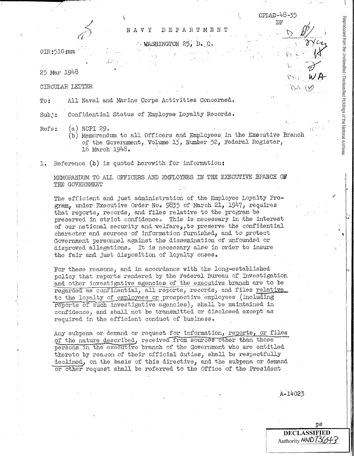OIR:510:mm

25 Mar 1948

CIRCULAR LETTER

All Naval and Marine Corps Activities Concerned.  $T$ o:

NAVY

Confidential Status of Employee Loyalty Records.  $Sub.i:$ 

 $(a)$  NCPI 29. Refs:

> (b) Memorandum to all Officers and Employees in the Executive Branch of the Government, Volume 13, Number 52, Federal Register, 16 March 1948.

DEPARTMENT

" WASHINGTON 25, D. C.

Reference  $(b)$  is quoted herewith for information: ı.

MEMORANDUM TO ALL OFFICERS AND EMPLOYEES IN THE EXECUTIVE BRANCH OF THE GOVERNMENT

The efficient and just administration of the Employee Loyalty Program, under Executive Order No. 9835 of March 21, 1947, requires that reports, records, and files relative to the program be preserved in strict confidence. This is necessary in the interest of our national security and welfare, to preserve the confidential character and sources of information furnished, and to protect Government personnel against the dissemination of unfounded or disproved allegations. It is necessary also in order to insure the fair and just disposition of loyalty cases.

For these reasons, and in accordance with the long-established policy that reports rendered by the Federal Bureau of Investigation and other investigative agencies of the executive branch are to be regarded as confidential, all reports, records, and files relative to the loyalty of employees or prospective employees (including reports of such investigative agencies), shall be maintained in confidence, and shall not be transmitted or disclosed except as required in the efficient conduct of business,

Any subpena or demand or request for information, reports, or files of the nature described, received from sources other than those persons in the executive branch of the Government who are entitled. thereto by reason of their official duties, shall be respectfully declined, on the basis of this directive, and the subpena or demand or other request shall be referred to the Office of the President

A-14023

Reproduced from the Unclassified / Declassified Holdings of the National Archives

CPL&D-48-35

 $DF$ 

 $\mathcal{W} \times \mathcal{W}$ 

ps